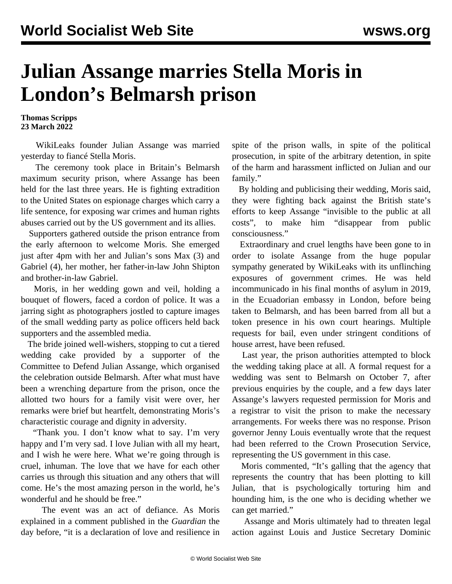## **Julian Assange marries Stella Moris in London's Belmarsh prison**

**Thomas Scripps 23 March 2022**

 WikiLeaks founder Julian Assange was married yesterday to fiancé Stella Moris.

 The ceremony took place in Britain's Belmarsh maximum security prison, where Assange has been held for the last three years. He is fighting extradition to the United States on espionage charges which carry a life sentence, for exposing war crimes and human rights abuses carried out by the US government and its allies.

 Supporters gathered outside the prison entrance from the early afternoon to welcome Moris. She emerged just after 4pm with her and Julian's sons Max (3) and Gabriel (4), her mother, her father-in-law John Shipton and brother-in-law Gabriel.

 Moris, in her wedding gown and veil, holding a bouquet of flowers, faced a cordon of police. It was a jarring sight as photographers jostled to capture images of the small wedding party as police officers held back supporters and the assembled media.

 The bride joined well-wishers, stopping to cut a tiered wedding cake provided by a supporter of the Committee to Defend Julian Assange, which organised the celebration outside Belmarsh. After what must have been a wrenching departure from the prison, once the allotted two hours for a family visit were over, her remarks were brief but heartfelt, demonstrating Moris's characteristic courage and dignity in adversity.

 "Thank you. I don't know what to say. I'm very happy and I'm very sad. I love Julian with all my heart, and I wish he were here. What we're going through is cruel, inhuman. The love that we have for each other carries us through this situation and any others that will come. He's the most amazing person in the world, he's wonderful and he should be free."

 The event was an act of defiance. As Moris explained in a comment published in the *Guardian* the day before, "it is a declaration of love and resilience in spite of the prison walls, in spite of the political prosecution, in spite of the arbitrary detention, in spite of the harm and harassment inflicted on Julian and our family."

 By holding and publicising their wedding, Moris said, they were fighting back against the British state's efforts to keep Assange "invisible to the public at all costs", to make him "disappear from public consciousness."

 Extraordinary and cruel lengths have been gone to in order to isolate Assange from the huge popular sympathy generated by WikiLeaks with its unflinching exposures of government crimes. He was held incommunicado in his final months of asylum in 2019, in the Ecuadorian embassy in London, before being taken to Belmarsh, and has been barred from all but a token presence in his own court hearings. Multiple requests for bail, even under stringent conditions of house arrest, have been refused.

 Last year, the prison authorities attempted to block the wedding taking place at all. A formal request for a wedding was sent to Belmarsh on October 7, after previous enquiries by the couple, and a few days later Assange's lawyers requested permission for Moris and a registrar to visit the prison to make the necessary arrangements. For weeks there was no response. Prison governor Jenny Louis eventually wrote that the request had been referred to the Crown Prosecution Service, representing the US government in this case.

 Moris commented, "It's galling that the agency that represents the country that has been plotting to kill Julian, that is psychologically torturing him and hounding him, is the one who is deciding whether we can get married."

 Assange and Moris ultimately had to threaten legal action against Louis and Justice Secretary Dominic